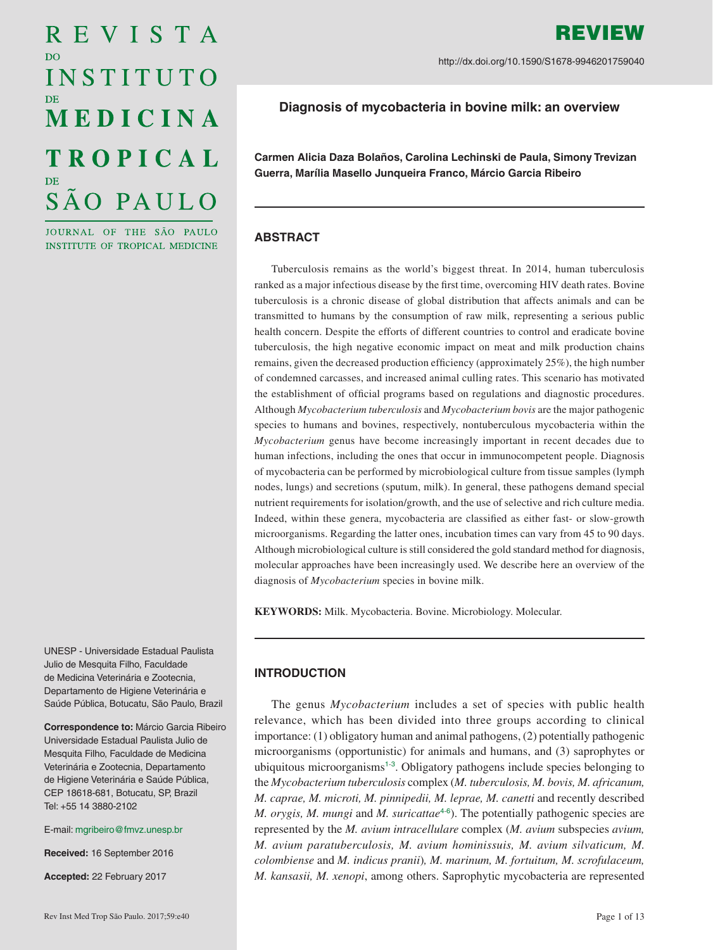# REVISTA D<sub>O</sub> INSTITUTO MEDICINA **TROPICAL** SÃO PAULO

JOURNAL OF THE SÃO PAULO INSTITUTE OF TROPICAL MEDICINE

REVIEW http://dx.doi.org/10.1590/S1678-9946201759040

# **Diagnosis of mycobacteria in bovine milk: an overview**

**Carmen Alicia Daza Bolaños, Carolina Lechinski de Paula, Simony Trevizan Guerra, Marília Masello Junqueira Franco, Márcio Garcia Ribeiro**

# **ABSTRACT**

Tuberculosis remains as the world's biggest threat. In 2014, human tuberculosis ranked as a major infectious disease by the first time, overcoming HIV death rates. Bovine tuberculosis is a chronic disease of global distribution that affects animals and can be transmitted to humans by the consumption of raw milk, representing a serious public health concern. Despite the efforts of different countries to control and eradicate bovine tuberculosis, the high negative economic impact on meat and milk production chains remains, given the decreased production efficiency (approximately 25%), the high number of condemned carcasses, and increased animal culling rates. This scenario has motivated the establishment of official programs based on regulations and diagnostic procedures. Although *Mycobacterium tuberculosis* and *Mycobacterium bovis* are the major pathogenic species to humans and bovines, respectively, nontuberculous mycobacteria within the *Mycobacterium* genus have become increasingly important in recent decades due to human infections, including the ones that occur in immunocompetent people. Diagnosis of mycobacteria can be performed by microbiological culture from tissue samples (lymph nodes, lungs) and secretions (sputum, milk). In general, these pathogens demand special nutrient requirements for isolation/growth, and the use of selective and rich culture media. Indeed, within these genera, mycobacteria are classified as either fast- or slow-growth microorganisms. Regarding the latter ones, incubation times can vary from 45 to 90 days. Although microbiological culture is still considered the gold standard method for diagnosis, molecular approaches have been increasingly used. We describe here an overview of the diagnosis of *Mycobacterium* species in bovine milk.

**KEYWORDS:** Milk. Mycobacteria. Bovine. Microbiology. Molecular.

UNESP - Universidade Estadual Paulista Julio de Mesquita Filho, Faculdade de Medicina Veterinária e Zootecnia, Departamento de Higiene Veterinária e Saúde Pública, Botucatu, São Paulo, Brazil

**Correspondence to:** Márcio Garcia Ribeiro Universidade Estadual Paulista Julio de Mesquita Filho, Faculdade de Medicina Veterinária e Zootecnia, Departamento de Higiene Veterinária e Saúde Pública, CEP 18618-681, Botucatu, SP, Brazil Tel: +55 14 3880-2102

E-mail: [mgribeiro@fmvz.unesp.br](mailto:mgribeiro%40fmvz.unesp.br?subject=)

**Received:** 16 September 2016

**Accepted:** 22 February 2017

## **INTRODUCTION**

<span id="page-0-3"></span><span id="page-0-2"></span><span id="page-0-1"></span><span id="page-0-0"></span>The genus *Mycobacterium* includes a set of species with public health relevance, which has been divided into three groups according to clinical importance: (1) obligatory human and animal pathogens, (2) potentially pathogenic microorganisms (opportunistic) for animals and humans, and (3) saprophytes or ubiquitous microorganisms<sup>[1](#page-9-0)-[3](#page-9-0)</sup>. Obligatory pathogens include species belonging to the *Mycobacterium tuberculosis* complex (*M. tuberculosis, M. bovis, M. africanum, M. caprae, M. microti, M. pinnipedii, M. leprae, M. canetti* and recently described *M. orygis, M. mungi* and *M. suricattae*<sup>[4](#page-9-0)[6](#page-9-0)</sup>). The potentially pathogenic species are represented by the *M. avium intracellulare* complex (*M. avium* subspecies *avium, M. avium paratuberculosis, M. avium hominissuis, M. avium silvaticum, M. colombiense* and *M. indicus pranii*)*, M. marinum, M. fortuitum, M. scrofulaceum, M. kansasii, M. xenopi*, among others. Saprophytic mycobacteria are represented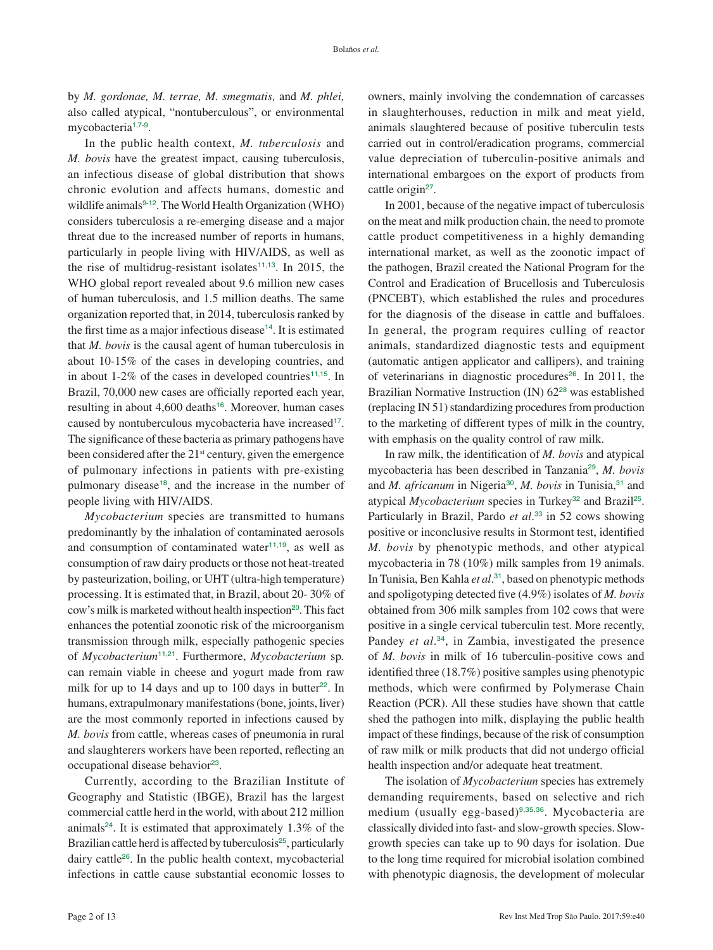by *M. gordonae, M. terrae, M. smegmatis,* and *M. phlei,*  also called atypical, "nontuberculous", or environmental mycobacteria<sup>[1](#page-9-0),[7](#page-9-0)-[9](#page-9-0)</sup>.

<span id="page-1-2"></span><span id="page-1-1"></span><span id="page-1-0"></span>In the public health context, *M. tuberculosis* and *M. bovis* have the greatest impact, causing tuberculosis, an infectious disease of global distribution that shows chronic evolution and affects humans, domestic and wildlife animals<sup>[9](#page-9-0)-[12](#page-9-0)</sup>. The World Health Organization (WHO) considers tuberculosis a re-emerging disease and a major threat due to the increased number of reports in humans, particularly in people living with HIV/AIDS, as well as the rise of multidrug-resistant isolates<sup> $11,13$  $11,13$  $11,13$ </sup>. In 2015, the WHO global report revealed about 9.6 million new cases of human tuberculosis, and 1.5 million deaths. The same organization reported that, in 2014, tuberculosis ranked by the first time as a major infectious disease<sup>[14](#page-9-0)</sup>. It is estimated that *M. bovis* is the causal agent of human tuberculosis in about 10-15% of the cases in developing countries, and in about 1-2% of the cases in developed countries<sup>[11](#page-9-0),[15](#page-9-0)</sup>. In Brazil, 70,000 new cases are officially reported each year, resulting in about 4,600 deaths<sup>[16](#page-9-0)</sup>. Moreover, human cases caused by nontuberculous mycobacteria have increased<sup>[17](#page-9-0)</sup>. The significance of these bacteria as primary pathogens have been considered after the  $21<sup>st</sup>$  century, given the emergence of pulmonary infections in patients with pre-existing pulmonary disease<sup>[18](#page-9-0)</sup>, and the increase in the number of people living with HIV/AIDS.

<span id="page-1-10"></span><span id="page-1-8"></span><span id="page-1-7"></span><span id="page-1-6"></span>*Mycobacterium* species are transmitted to humans predominantly by the inhalation of contaminated aerosols and consumption of contaminated water $11,19$  $11,19$  $11,19$ , as well as consumption of raw dairy products or those not heat-treated by pasteurization, boiling, or UHT (ultra-high temperature) processing. It is estimated that, in Brazil, about 20- 30% of cow's milk is marketed without health inspection<sup>[20](#page-9-0)</sup>. This fact enhances the potential zoonotic risk of the microorganism transmission through milk, especially pathogenic species of *Mycobacterium*[11](#page-9-0),[21](#page-10-0). Furthermore, *Mycobacterium* sp*.*  can remain viable in cheese and yogurt made from raw milk for up to  $14$  days and up to  $100$  days in butter<sup>[22](#page-10-0)</sup>. In humans, extrapulmonary manifestations (bone, joints, liver) are the most commonly reported in infections caused by *M. bovis* from cattle, whereas cases of pneumonia in rural and slaughterers workers have been reported, reflecting an occupational disease behavior<sup>[23](#page-10-0)</sup>.

<span id="page-1-16"></span><span id="page-1-15"></span><span id="page-1-14"></span><span id="page-1-13"></span>Currently, according to the Brazilian Institute of Geography and Statistic (IBGE), Brazil has the largest commercial cattle herd in the world, with about 212 million animals<sup>[24](#page-10-0)</sup>. It is estimated that approximately  $1.3\%$  of the Brazilian cattle herd is affected by tuberculosis<sup>[25](#page-10-0)</sup>, particularly dairy cattle[26](#page-10-0). In the public health context, mycobacterial infections in cattle cause substantial economic losses to

owners, mainly involving the condemnation of carcasses in slaughterhouses, reduction in milk and meat yield, animals slaughtered because of positive tuberculin tests carried out in control/eradication programs, commercial value depreciation of tuberculin-positive animals and international embargoes on the export of products from cattle origin<sup>[27](#page-10-0)</sup>.

<span id="page-1-17"></span><span id="page-1-4"></span><span id="page-1-3"></span>In 2001, because of the negative impact of tuberculosis on the meat and milk production chain, the need to promote cattle product competitiveness in a highly demanding international market, as well as the zoonotic impact of the pathogen, Brazil created the National Program for the Control and Eradication of Brucellosis and Tuberculosis (PNCEBT), which established the rules and procedures for the diagnosis of the disease in cattle and buffaloes. In general, the program requires culling of reactor animals, standardized diagnostic tests and equipment (automatic antigen applicator and callipers), and training of veterinarians in diagnostic procedures<sup>[26](#page-10-0)</sup>. In 2011, the Brazilian Normative Instruction (IN) 62<sup>[28](#page-10-0)</sup> was established (replacing IN 51) standardizing procedures from production to the marketing of different types of milk in the country, with emphasis on the quality control of raw milk.

<span id="page-1-23"></span><span id="page-1-22"></span><span id="page-1-21"></span><span id="page-1-20"></span><span id="page-1-19"></span><span id="page-1-18"></span><span id="page-1-9"></span><span id="page-1-5"></span>In raw milk, the identification of *M. bovis* and atypical mycobacteria has been described in Tanzania[29](#page-10-0), *M. bovis*  and *M. africanum* in Nigeria<sup>[30](#page-10-0)</sup>, *M. bovis* in Tunisia,<sup>[31](#page-10-0)</sup> and atypical *Mycobacterium* species in Turkey<sup>[32](#page-10-0)</sup> and Brazil<sup>[25](#page-10-0)</sup>. Particularly in Brazil, Pardo *et al*. [33](#page-10-0) in 52 cows showing positive or inconclusive results in Stormont test, identified *M. bovis* by phenotypic methods, and other atypical mycobacteria in 78 (10%) milk samples from 19 animals. In Tunisia, Ben Kahla *et al*. [31](#page-10-0), based on phenotypic methods and spoligotyping detected five (4.9%) isolates of *M. bovis* obtained from 306 milk samples from 102 cows that were positive in a single cervical tuberculin test. More recently, Pandey *et al*. [34](#page-10-0), in Zambia, investigated the presence of *M. bovis* in milk of 16 tuberculin-positive cows and identified three (18.7%) positive samples using phenotypic methods, which were confirmed by Polymerase Chain Reaction (PCR). All these studies have shown that cattle shed the pathogen into milk, displaying the public health impact of these findings, because of the risk of consumption of raw milk or milk products that did not undergo official health inspection and/or adequate heat treatment.

<span id="page-1-26"></span><span id="page-1-25"></span><span id="page-1-24"></span><span id="page-1-12"></span><span id="page-1-11"></span>The isolation of *Mycobacterium* species has extremely demanding requirements, based on selective and rich medium (usually egg-based)<sup>[9](#page-9-0),[35](#page-10-0),[36](#page-10-0)</sup>. Mycobacteria are classically divided into fast- and slow-growth species. Slowgrowth species can take up to 90 days for isolation. Due to the long time required for microbial isolation combined with phenotypic diagnosis, the development of molecular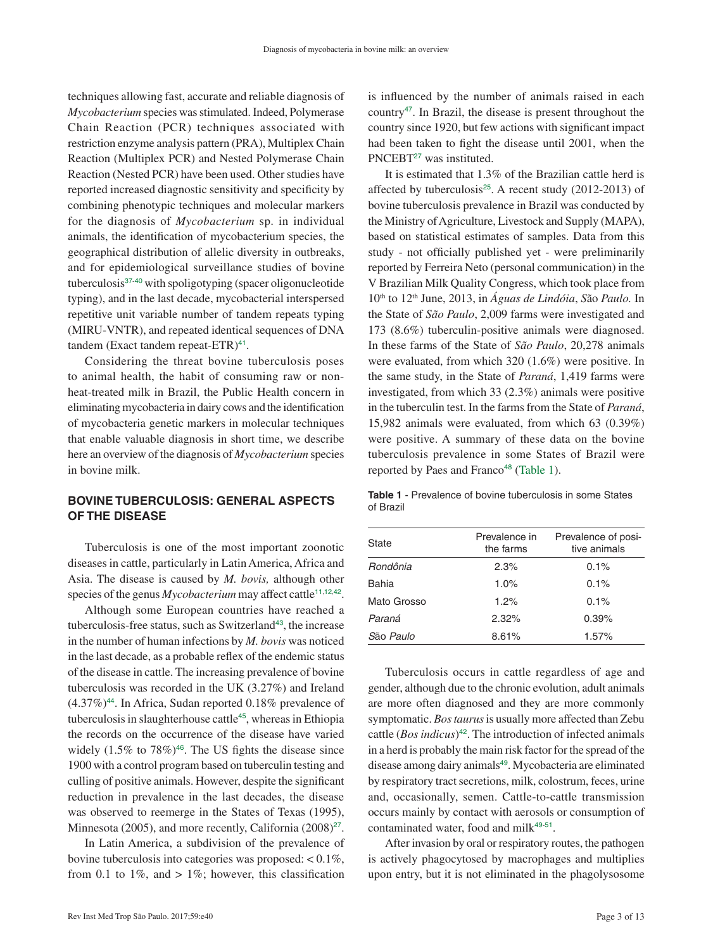techniques allowing fast, accurate and reliable diagnosis of *Mycobacterium* species was stimulated. Indeed, Polymerase Chain Reaction (PCR) techniques associated with restriction enzyme analysis pattern (PRA), Multiplex Chain Reaction (Multiplex PCR) and Nested Polymerase Chain Reaction (Nested PCR) have been used. Other studies have reported increased diagnostic sensitivity and specificity by combining phenotypic techniques and molecular markers for the diagnosis of *Mycobacterium* sp. in individual animals, the identification of mycobacterium species, the geographical distribution of allelic diversity in outbreaks, and for epidemiological surveillance studies of bovine tuberculosis[37](#page-10-0)-[40](#page-10-0) with spoligotyping (spacer oligonucleotide typing), and in the last decade, mycobacterial interspersed repetitive unit variable number of tandem repeats typing (MIRU-VNTR), and repeated identical sequences of DNA tandem (Exact tandem repeat-ETR)<sup>[41](#page-10-0)</sup>.

<span id="page-2-2"></span><span id="page-2-1"></span>Considering the threat bovine tuberculosis poses to animal health, the habit of consuming raw or nonheat-treated milk in Brazil, the Public Health concern in eliminating mycobacteria in dairy cows and the identification of mycobacteria genetic markers in molecular techniques that enable valuable diagnosis in short time, we describe here an overview of the diagnosis of *Mycobacterium* species in bovine milk.

# **BOVINE TUBERCULOSIS: GENERAL ASPECTS OF THE DISEASE**

Tuberculosis is one of the most important zoonotic diseases in cattle, particularly in Latin America, Africa and Asia. The disease is caused by *M. bovis,* although other species of the genus *Mycobacterium* may affect cattle<sup>[11](#page-9-0),[12](#page-9-0),[42](#page-10-0)</sup>.

<span id="page-2-6"></span><span id="page-2-5"></span>Although some European countries have reached a tuberculosis-free status, such as Switzerland<sup>[43](#page-10-0)</sup>, the increase in the number of human infections by *M. bovis* was noticed in the last decade, as a probable reflex of the endemic status of the disease in cattle. The increasing prevalence of bovine tuberculosis was recorded in the UK (3.27%) and Ireland  $(4.37\%)^{44}$  $(4.37\%)^{44}$  $(4.37\%)^{44}$ . In Africa, Sudan reported 0.18% prevalence of tuberculosis in slaughterhouse cattle<sup>[45](#page-10-0)</sup>, whereas in Ethiopia the records on the occurrence of the disease have varied widely  $(1.5\%$  to  $78\%)$ <sup>[46](#page-10-0)</sup>. The US fights the disease since 1900 with a control program based on tuberculin testing and culling of positive animals. However, despite the significant reduction in prevalence in the last decades, the disease was observed to reemerge in the States of Texas (1995), Minnesota (2005), and more recently, California (2008)<sup>[27](#page-10-0)</sup>.

<span id="page-2-8"></span>In Latin America, a subdivision of the prevalence of bovine tuberculosis into categories was proposed: < 0.1%, from 0.1 to 1%, and  $> 1\%$ ; however, this classification

<span id="page-2-9"></span>is influenced by the number of animals raised in each country[47](#page-11-0). In Brazil, the disease is present throughout the country since 1920, but few actions with significant impact had been taken to fight the disease until 2001, when the PNCEBT<sup>[27](#page-10-0)</sup> was instituted.

It is estimated that 1.3% of the Brazilian cattle herd is affected by tuberculosis<sup>[25](#page-10-0)</sup>. A recent study  $(2012-2013)$  of bovine tuberculosis prevalence in Brazil was conducted by the Ministry of Agriculture, Livestock and Supply (MAPA), based on statistical estimates of samples. Data from this study - not officially published yet - were preliminarily reported by Ferreira Neto (personal communication) in the V Brazilian Milk Quality Congress, which took place from 10th to 12th June, 2013, in *Águas de Lindóia*, *S*ão *Paulo.* In the State of *São Paulo*, 2,009 farms were investigated and 173 (8.6%) tuberculin-positive animals were diagnosed. In these farms of the State of *São Paulo*, 20,278 animals were evaluated, from which 320 (1.6%) were positive. In the same study, in the State of *Paraná*, 1,419 farms were investigated, from which 33 (2.3%) animals were positive in the tuberculin test. In the farms from the State of *Paraná*, 15,982 animals were evaluated, from which 63 (0.39%) were positive. A summary of these data on the bovine tuberculosis prevalence in some States of Brazil were reported by Paes and Franco<sup>[48](#page-11-0)</sup> (Table 1).

<span id="page-2-10"></span><span id="page-2-3"></span><span id="page-2-0"></span>**Table 1** [- Prevalence of bovine tuberculosis in some States](#page-2-0)  of Brazil

<span id="page-2-4"></span>

| <b>State</b> | Prevalence in<br>the farms | Prevalence of posi-<br>tive animals |  |  |  |  |  |
|--------------|----------------------------|-------------------------------------|--|--|--|--|--|
| Rondônia     | 2.3%                       | 0.1%                                |  |  |  |  |  |
| Bahia        | 1.0%                       | 0.1%                                |  |  |  |  |  |
| Mato Grosso  | 1.2%                       | 0.1%                                |  |  |  |  |  |
| Paraná       | 2.32%                      | 0.39%                               |  |  |  |  |  |
| São Paulo    | 8.61%                      | 1.57%                               |  |  |  |  |  |

<span id="page-2-7"></span>Tuberculosis occurs in cattle regardless of age and gender, although due to the chronic evolution, adult animals are more often diagnosed and they are more commonly symptomatic. *Bos taurus* is usually more affected than Zebu cattle (*Bos indicus*)[42](#page-10-0). The introduction of infected animals in a herd is probably the main risk factor for the spread of the disease among dairy animals<sup>[49](#page-11-0)</sup>. Mycobacteria are eliminated by respiratory tract secretions, milk, colostrum, feces, urine and, occasionally, semen. Cattle-to-cattle transmission occurs mainly by contact with aerosols or consumption of contaminated water, food and milk<sup>[49](#page-11-0)-[51](#page-11-0)</sup>.

<span id="page-2-12"></span><span id="page-2-11"></span>After invasion by oral or respiratory routes, the pathogen is actively phagocytosed by macrophages and multiplies upon entry, but it is not eliminated in the phagolysosome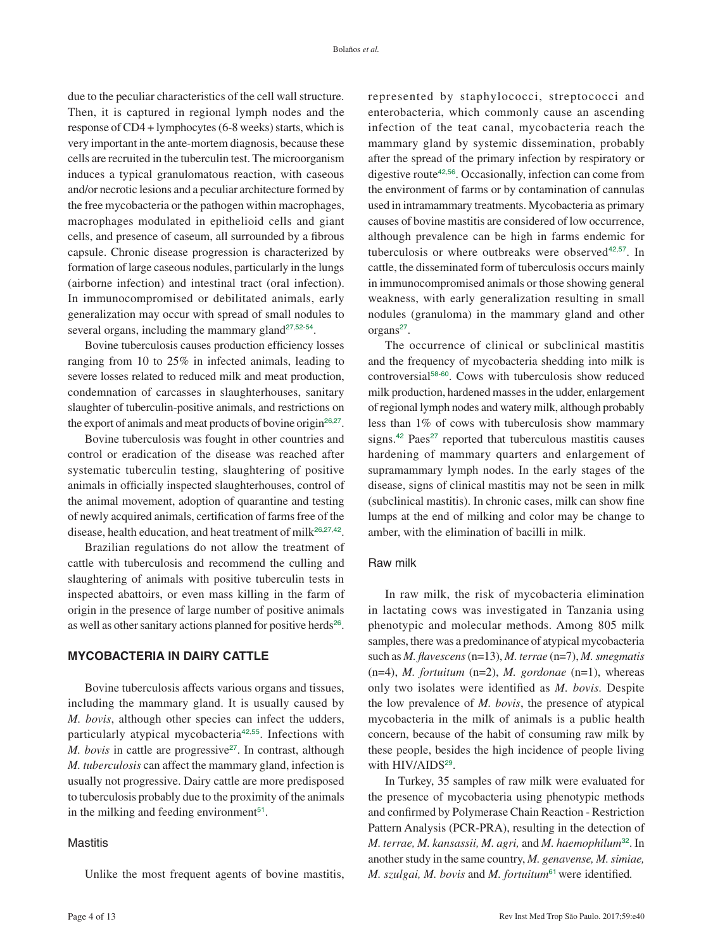due to the peculiar characteristics of the cell wall structure. Then, it is captured in regional lymph nodes and the response of CD4 + lymphocytes (6-8 weeks) starts, which is very important in the ante-mortem diagnosis, because these cells are recruited in the tuberculin test. The microorganism induces a typical granulomatous reaction, with caseous and/or necrotic lesions and a peculiar architecture formed by the free mycobacteria or the pathogen within macrophages, macrophages modulated in epithelioid cells and giant cells, and presence of caseum, all surrounded by a fibrous capsule. Chronic disease progression is characterized by formation of large caseous nodules, particularly in the lungs (airborne infection) and intestinal tract (oral infection). In immunocompromised or debilitated animals, early generalization may occur with spread of small nodules to several organs, including the mammary gland<sup>[27](#page-10-0),[52](#page-11-0)-[54](#page-11-0)</sup>.

Bovine tuberculosis causes production efficiency losses ranging from 10 to 25% in infected animals, leading to severe losses related to reduced milk and meat production, condemnation of carcasses in slaughterhouses, sanitary slaughter of tuberculin-positive animals, and restrictions on the export of animals and meat products of bovine origin<sup>[26](#page-10-0),[27](#page-10-0)</sup>.

Bovine tuberculosis was fought in other countries and control or eradication of the disease was reached after systematic tuberculin testing, slaughtering of positive animals in officially inspected slaughterhouses, control of the animal movement, adoption of quarantine and testing of newly acquired animals, certification of farms free of the disease, health education, and heat treatment of milk<sup>[26](#page-10-0),[27](#page-10-0),[42](#page-10-0)</sup>.

Brazilian regulations do not allow the treatment of cattle with tuberculosis and recommend the culling and slaughtering of animals with positive tuberculin tests in inspected abattoirs, or even mass killing in the farm of origin in the presence of large number of positive animals as well as other sanitary actions planned for positive herds<sup>[26](#page-10-0)</sup>.

## **MYCOBACTERIA IN DAIRY CATTLE**

Bovine tuberculosis affects various organs and tissues, including the mammary gland. It is usually caused by *M. bovis*, although other species can infect the udders, particularly atypical mycobacteria[42](#page-10-0),[55](#page-11-0). Infections with *M. bovis* in cattle are progressive<sup>[27](#page-10-0)</sup>. In contrast, although *M. tuberculosis* can affect the mammary gland, infection is usually not progressive. Dairy cattle are more predisposed to tuberculosis probably due to the proximity of the animals in the milking and feeding environment<sup>[51](#page-11-0)</sup>.

## **Mastitis**

Unlike the most frequent agents of bovine mastitis,

<span id="page-3-3"></span>represented by staphylococci, streptococci and enterobacteria, which commonly cause an ascending infection of the teat canal, mycobacteria reach the mammary gland by systemic dissemination, probably after the spread of the primary infection by respiratory or digestive route[42](#page-10-0),[56](#page-11-0). Occasionally, infection can come from the environment of farms or by contamination of cannulas used in intramammary treatments. Mycobacteria as primary causes of bovine mastitis are considered of low occurrence, although prevalence can be high in farms endemic for tuberculosis or where outbreaks were observed<sup>[42](#page-10-0),[57](#page-11-0)</sup>. In cattle, the disseminated form of tuberculosis occurs mainly in immunocompromised animals or those showing general weakness, with early generalization resulting in small nodules (granuloma) in the mammary gland and other organs<sup>[27](#page-10-0)</sup>.

<span id="page-3-6"></span><span id="page-3-5"></span><span id="page-3-4"></span><span id="page-3-1"></span><span id="page-3-0"></span>The occurrence of clinical or subclinical mastitis and the frequency of mycobacteria shedding into milk is controversial[58](#page-11-0)-[60](#page-11-0). Cows with tuberculosis show reduced milk production, hardened masses in the udder, enlargement of regional lymph nodes and watery milk, although probably less than 1% of cows with tuberculosis show mammary signs.<sup>[42](#page-10-0)</sup> Paes<sup>[27](#page-10-0)</sup> reported that tuberculous mastitis causes hardening of mammary quarters and enlargement of supramammary lymph nodes. In the early stages of the disease, signs of clinical mastitis may not be seen in milk (subclinical mastitis). In chronic cases, milk can show fine lumps at the end of milking and color may be change to amber, with the elimination of bacilli in milk.

#### Raw milk

In raw milk, the risk of mycobacteria elimination in lactating cows was investigated in Tanzania using phenotypic and molecular methods. Among 805 milk samples, there was a predominance of atypical mycobacteria such as *M. flavescens* (n=13), *M. terrae* (n=7), *M. smegmatis* (n=4), *M. fortuitum* (n=2), *M. gordonae* (n=1), whereas only two isolates were identified as *M. bovis.* Despite the low prevalence of *M. bovis*, the presence of atypical mycobacteria in the milk of animals is a public health concern, because of the habit of consuming raw milk by these people, besides the high incidence of people living with HIV/AIDS<sup>[29](#page-10-0)</sup>.

<span id="page-3-7"></span><span id="page-3-2"></span>In Turkey, 35 samples of raw milk were evaluated for the presence of mycobacteria using phenotypic methods and confirmed by Polymerase Chain Reaction - Restriction Pattern Analysis (PCR-PRA), resulting in the detection of *M. terrae, M. kansassii, M. agri,* and *M. haemophilum*[32](#page-10-0). In another study in the same country, *M. genavense, M. simiae, M. szulgai, M. bovis* and *M. fortuitum*[61](#page-11-0) were identified*.*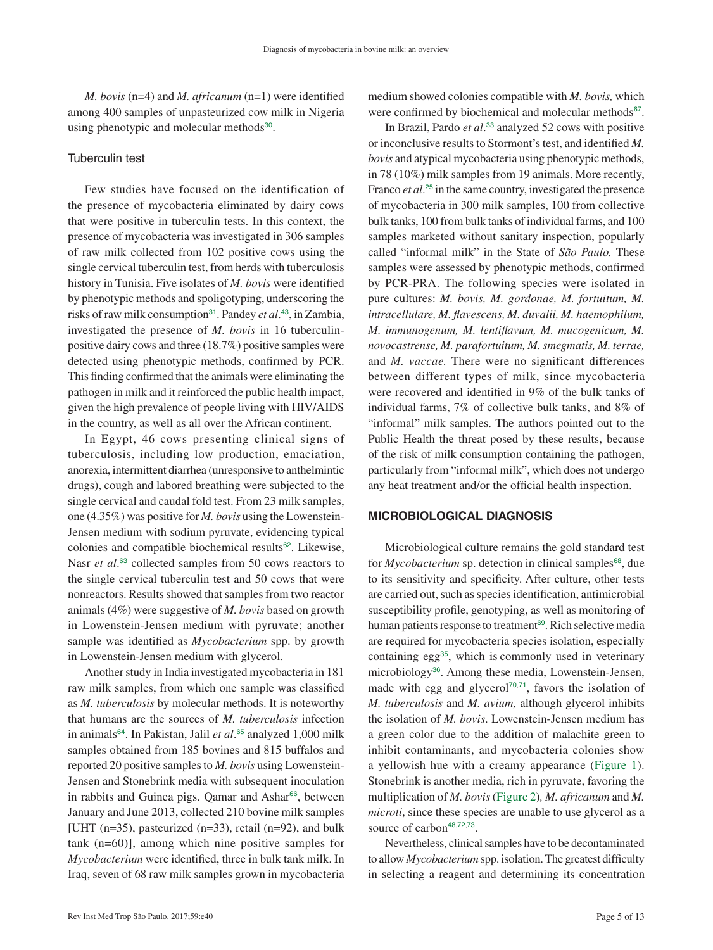*M. bovis* (n=4) and *M. africanum* (n=1) were identified among 400 samples of unpasteurized cow milk in Nigeria using phenotypic and molecular methods<sup>[30](#page-10-0)</sup>.

#### Tuberculin test

Few studies have focused on the identification of the presence of mycobacteria eliminated by dairy cows that were positive in tuberculin tests. In this context, the presence of mycobacteria was investigated in 306 samples of raw milk collected from 102 positive cows using the single cervical tuberculin test, from herds with tuberculosis history in Tunisia. Five isolates of *M. bovis* were identified by phenotypic methods and spoligotyping, underscoring the risks of raw milk consumption<sup>[31](#page-10-0)</sup>. Pandey *et al*.<sup>[43](#page-10-0)</sup>, in Zambia, investigated the presence of *M. bovis* in 16 tuberculinpositive dairy cows and three (18.7%) positive samples were detected using phenotypic methods, confirmed by PCR. This finding confirmed that the animals were eliminating the pathogen in milk and it reinforced the public health impact, given the high prevalence of people living with HIV/AIDS in the country, as well as all over the African continent.

<span id="page-4-2"></span>In Egypt, 46 cows presenting clinical signs of tuberculosis, including low production, emaciation, anorexia, intermittent diarrhea (unresponsive to anthelmintic drugs), cough and labored breathing were subjected to the single cervical and caudal fold test. From 23 milk samples, one (4.35%) was positive for *M. bovis* using the Lowenstein-Jensen medium with sodium pyruvate, evidencing typical colonies and compatible biochemical results<sup>[62](#page-11-0)</sup>. Likewise, Nasr *et al.*<sup>[63](#page-11-0)</sup> collected samples from 50 cows reactors to the single cervical tuberculin test and 50 cows that were nonreactors. Results showed that samples from two reactor animals (4%) were suggestive of *M. bovis* based on growth in Lowenstein-Jensen medium with pyruvate; another sample was identified as *Mycobacterium* spp. by growth in Lowenstein-Jensen medium with glycerol.

<span id="page-4-6"></span><span id="page-4-4"></span><span id="page-4-3"></span>Another study in India investigated mycobacteria in 181 raw milk samples, from which one sample was classified as *M. tuberculosis* by molecular methods. It is noteworthy that humans are the sources of *M. tuberculosis* infection in animals[64](#page-11-0). In Pakistan, Jalil *et al*. [65](#page-11-0) analyzed 1,000 milk samples obtained from 185 bovines and 815 buffalos and reported 20 positive samples to *M. bovis* using Lowenstein-Jensen and Stonebrink media with subsequent inoculation in rabbits and Guinea pigs. Qamar and Ashar<sup>[66](#page-11-0)</sup>, between January and June 2013, collected 210 bovine milk samples [UHT (n=35), pasteurized (n=33), retail (n=92), and bulk tank (n=60)], among which nine positive samples for *Mycobacterium* were identified, three in bulk tank milk. In Iraq, seven of 68 raw milk samples grown in mycobacteria

<span id="page-4-7"></span>medium showed colonies compatible with *M. bovis,* which were confirmed by biochemical and molecular methods<sup>[67](#page-11-0)</sup>.

In Brazil, Pardo *et al*. [33](#page-10-0) analyzed 52 cows with positive or inconclusive results to Stormont's test, and identified *M. bovis* and atypical mycobacteria using phenotypic methods, in 78 (10%) milk samples from 19 animals. More recently, Franco *et al.*<sup>[25](#page-10-0)</sup> in the same country, investigated the presence of mycobacteria in 300 milk samples, 100 from collective bulk tanks, 100 from bulk tanks of individual farms, and 100 samples marketed without sanitary inspection, popularly called "informal milk" in the State of *São Paulo.* These samples were assessed by phenotypic methods, confirmed by PCR-PRA. The following species were isolated in pure cultures: *M. bovis, M. gordonae, M. fortuitum, M. intracellulare, M. flavescens, M. duvalii, M. haemophilum, M. immunogenum, M. lentiflavum, M. mucogenicum, M. novocastrense, M. parafortuitum, M. smegmatis, M. terrae,*  and *M. vaccae.* There were no significant differences between different types of milk, since mycobacteria were recovered and identified in 9% of the bulk tanks of individual farms, 7% of collective bulk tanks, and 8% of "informal" milk samples. The authors pointed out to the Public Health the threat posed by these results, because of the risk of milk consumption containing the pathogen, particularly from "informal milk", which does not undergo any heat treatment and/or the official health inspection.

#### **MICROBIOLOGICAL DIAGNOSIS**

<span id="page-4-11"></span><span id="page-4-10"></span><span id="page-4-9"></span><span id="page-4-8"></span>Microbiological culture remains the gold standard test for *Mycobacterium* sp. detection in clinical samples<sup>[68](#page-11-0)</sup>, due to its sensitivity and specificity. After culture, other tests are carried out, such as species identification, antimicrobial susceptibility profile, genotyping, as well as monitoring of human patients response to treatment<sup>[69](#page-11-0)</sup>. Rich selective media are required for mycobacteria species isolation, especially containing egg<sup>[35](#page-10-0)</sup>, which is commonly used in veterinary microbiology[36](#page-10-0). Among these media, Lowenstein-Jensen, made with egg and glycerol<sup>[70](#page-11-0),[71](#page-11-0)</sup>, favors the isolation of *M. tuberculosis* and *M. avium,* although glycerol inhibits the isolation of *M. bovis*. Lowenstein-Jensen medium has a green color due to the addition of malachite green to inhibit contaminants, and mycobacteria colonies show a yellowish hue with a creamy appearance ([Figure 1\)](#page-5-0). Stonebrink is another media, rich in pyruvate, favoring the multiplication of *M. bovis* ([Figure 2\)](#page-5-0)*, M. africanum* and *M. microti*, since these species are unable to use glycerol as a source of carbon<sup>[48](#page-11-0),[72](#page-11-0),[73](#page-11-0)</sup>.

<span id="page-4-13"></span><span id="page-4-12"></span><span id="page-4-5"></span><span id="page-4-1"></span><span id="page-4-0"></span>Nevertheless, clinical samples have to be decontaminated to allow *Mycobacterium* spp. isolation. The greatest difficulty in selecting a reagent and determining its concentration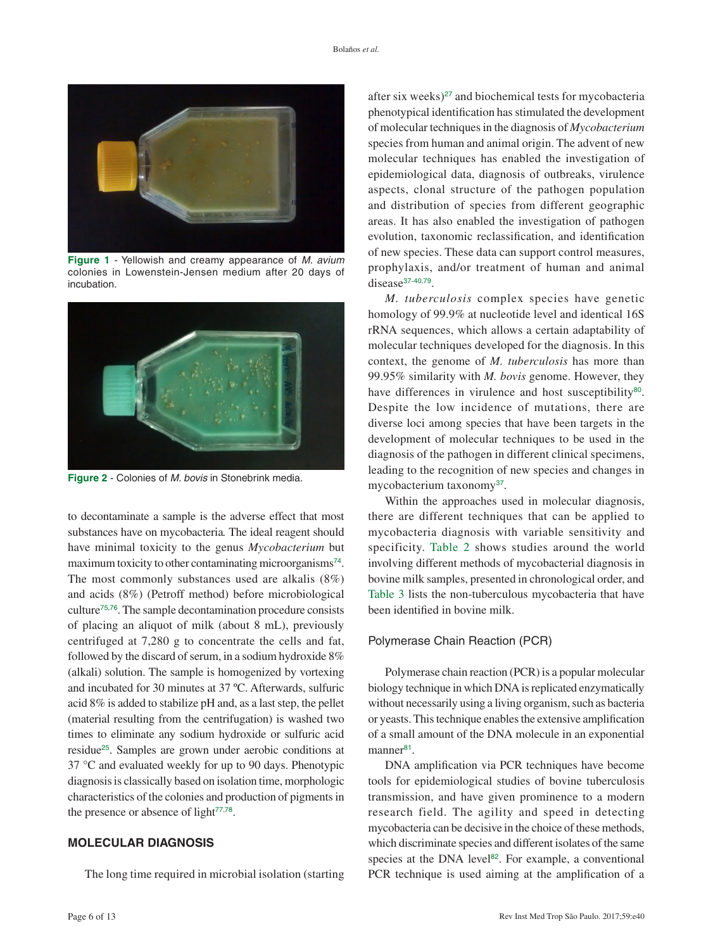<span id="page-5-0"></span>

**Figure 1** - Yellowish and creamy appearance of *M. avium*  [colonies in Lowenstein-Jensen medium after 20 days of](#page-4-0)  incubation.



**Figure 2** - Colonies of *M. bovis* [in Stonebrink media.](#page-4-1)

<span id="page-5-5"></span><span id="page-5-4"></span><span id="page-5-3"></span>to decontaminate a sample is the adverse effect that most substances have on mycobacteria*.* The ideal reagent should have minimal toxicity to the genus *Mycobacterium* but maximum toxicity to other contaminating microorganisms<sup>[74](#page-11-0)</sup>. The most commonly substances used are alkalis (8%) and acids (8%) (Petroff method) before microbiological culture[75](#page-11-0),[76](#page-11-0). The sample decontamination procedure consists of placing an aliquot of milk (about 8 mL), previously centrifuged at 7,280 g to concentrate the cells and fat, followed by the discard of serum, in a sodium hydroxide 8% (alkali) solution. The sample is homogenized by vortexing and incubated for 30 minutes at 37 ºC. Afterwards, sulfuric acid 8% is added to stabilize pH and, as a last step, the pellet (material resulting from the centrifugation) is washed two times to eliminate any sodium hydroxide or sulfuric acid residue[25](#page-10-0). Samples are grown under aerobic conditions at 37 °C and evaluated weekly for up to 90 days. Phenotypic diagnosis is classically based on isolation time, morphologic characteristics of the colonies and production of pigments in the presence or absence of light $77,78$  $77,78$  $77,78$ .

## <span id="page-5-6"></span>**MOLECULAR DIAGNOSIS**

The long time required in microbial isolation (starting

after six weeks) $^{27}$  $^{27}$  $^{27}$  and biochemical tests for mycobacteria phenotypical identification has stimulated the development of molecular techniques in the diagnosis of *Mycobacterium*  species from human and animal origin. The advent of new molecular techniques has enabled the investigation of epidemiological data, diagnosis of outbreaks, virulence aspects, clonal structure of the pathogen population and distribution of species from different geographic areas. It has also enabled the investigation of pathogen evolution, taxonomic reclassification, and identification of new species. These data can support control measures, prophylaxis, and/or treatment of human and animal disease<sup>[37](#page-10-0)-[40](#page-10-0),[79](#page-12-0)</sup>.

<span id="page-5-9"></span><span id="page-5-8"></span>*M. tuberculosis* complex species have genetic homology of 99.9% at nucleotide level and identical 16S rRNA sequences, which allows a certain adaptability of molecular techniques developed for the diagnosis. In this context, the genome of *M. tuberculosis* has more than 99.95% similarity with *M. bovis* genome. However, they have differences in virulence and host susceptibility<sup>[80](#page-12-0)</sup>. Despite the low incidence of mutations, there are diverse loci among species that have been targets in the development of molecular techniques to be used in the diagnosis of the pathogen in different clinical specimens, leading to the recognition of new species and changes in mycobacterium taxonomy<sup>[37](#page-10-0)</sup>.

<span id="page-5-1"></span>Within the approaches used in molecular diagnosis, there are different techniques that can be applied to mycobacteria diagnosis with variable sensitivity and specificity. [Table 2](#page-6-0) shows studies around the world involving different methods of mycobacterial diagnosis in bovine milk samples, presented in chronological order, and [Table 3](#page-7-0) lists the non-tuberculous mycobacteria that have been identified in bovine milk.

#### <span id="page-5-2"></span>Polymerase Chain Reaction (PCR)

Polymerase chain reaction (PCR) is a popular molecular biology technique in which DNA is replicated enzymatically without necessarily using a living organism, such as bacteria or yeasts. This technique enables the extensive amplification of a small amount of the DNA molecule in an exponential manner<sup>[81](#page-12-0)</sup>.

<span id="page-5-11"></span><span id="page-5-10"></span><span id="page-5-7"></span>DNA amplification via PCR techniques have become tools for epidemiological studies of bovine tuberculosis transmission, and have given prominence to a modern research field. The agility and speed in detecting mycobacteria can be decisive in the choice of these methods, which discriminate species and different isolates of the same species at the DNA level $82$ . For example, a conventional PCR technique is used aiming at the amplification of a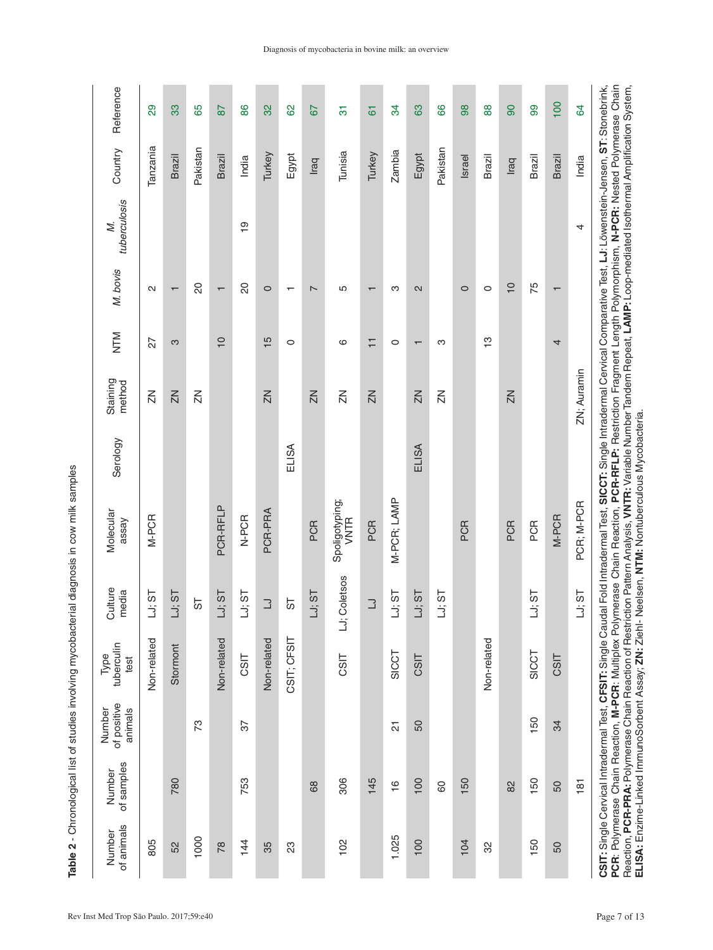| $\frac{2}{2}$<br>i                                                              |
|---------------------------------------------------------------------------------|
|                                                                                 |
| ミクス こうこう こうりょう こうこう<br>)<br>5<br>5<br>5                                         |
| こりこうせつ りょうりょうきょう きょこうこうこう                                                       |
| $\vdots$<br>D.<br>.<br>.                                                        |
| ist ct ct                                                                       |
|                                                                                 |
| ֧֪֪֪֪֪֪֪֪֪֪֪֪֪֛֪֪֪֪֞֝֝֜֝֜֟֝֬֝֓֟֓֝֬֝֓֝֝֝֝֝֝֝֝֝֓֟֓֟֓֟֓֟֓֟֓֟֓֟֓֟֓֝֓֝֓֝֓֝֓֝֓֝֓֝֓֝֓֝ |
| <br> <br> <br>                                                                  |

<span id="page-6-0"></span>

| Reference                        | 29             | 33                       | 65             | 87                       | 86             | 32             | 8           | 57             | $\overline{5}$                | $\overline{6}$           | 34            | 89                       | 89             | 98      | 88            | 90             | 8      | 100                      | $\overline{a}$ | PCR: Polymerase Chain Reaction, M-PCR: Multiplex Polymerase Chain Reaction, PCR-RFLP: Restriction Fragment Length Polymorphism, N-PCR: Nested Polymerase Chain                  |
|----------------------------------|----------------|--------------------------|----------------|--------------------------|----------------|----------------|-------------|----------------|-------------------------------|--------------------------|---------------|--------------------------|----------------|---------|---------------|----------------|--------|--------------------------|----------------|---------------------------------------------------------------------------------------------------------------------------------------------------------------------------------|
| Country                          | Tanzania       | Brazil                   | Pakistan       | <b>Brazil</b>            | India          | Turkey         | Egypt       | Iraq           | Tunisia                       | Turkey                   | <b>Zambia</b> | Egypt                    | Pakistan       | Israel  | <b>Brazil</b> | Iraq           | Brazil | <b>Brazil</b>            | India          |                                                                                                                                                                                 |
| tuberculosis<br>Σ,               |                |                          |                |                          | $\frac{1}{2}$  |                |             |                |                               |                          |               |                          |                |         |               |                |        |                          | 4              |                                                                                                                                                                                 |
| M. bovis                         | N              | $\overline{\phantom{0}}$ | 20             | $\overline{\phantom{0}}$ | $\overline{c}$ | $\circ$        |             | $\sim$         | Б                             | $\overline{\phantom{0}}$ | က             | 2                        |                | $\circ$ | $\circ$       | $\overline{C}$ | 75     | $\overline{\phantom{0}}$ |                |                                                                                                                                                                                 |
| MLN                              | 27             | S                        |                | $\overline{C}$           |                | $\frac{5}{1}$  | $\circ$     |                | ဖ                             | $\overline{+}$           | $\circ$       | $\overline{\phantom{0}}$ | ო              |         | $\frac{1}{2}$ |                |        | 4                        |                |                                                                                                                                                                                 |
| Staining<br>method               | $\overline{z}$ | $\overline{2}$           | $\overline{z}$ |                          |                | $\overline{2}$ |             | $\overline{2}$ | $\overline{z}$                | $\overline{2}$           |               | $\overline{2}$           | $\overline{z}$ |         |               | ZN             |        |                          | ZN; Auramin    |                                                                                                                                                                                 |
| Serology                         |                |                          |                |                          |                |                | ELISA       |                |                               |                          |               | ELISA                    |                |         |               |                |        |                          |                |                                                                                                                                                                                 |
| Molecular<br>assay               | M-PCR          |                          |                | PCR-RFLP                 | N-PCR          | PCR-PRA        |             | PCR            | Spoligotyping;<br><b>VNTR</b> | PCR                      | M-PCR; LAMP   |                          |                | PCR     |               | PCR            | PCR    | M-PCR                    | PCR; M-PCR     | CSIT: Single Cervical Intradermal Test, CFSIT: Single Caudal Fold Intradermal Test, SICCT: Single Intradermal Cervical Comparative Test, LJ: Löwenstein-Jensen, ST: Stonebrink, |
| Culture<br>media                 | LJ; ST         | LJ; ST                   | 19             | LJ; ST                   | LJ; ST         | $\Box$         | 55          | LJ; ST         | LJ; Coletsos                  | $\Box$                   | LJ; ST        | LJ; ST                   | LJ; ST         |         |               |                | LJ; ST |                          | LJ; ST         |                                                                                                                                                                                 |
| tuberculin<br>Type<br>test       | Non-related    | Stormont                 |                | Non-related              | CSIT           | Non-related    | CSIT; CFSIT |                | CSIT                          |                          | SICCT         | CSIT                     |                |         | Non-related   |                | SICCT  | CSIT                     |                |                                                                                                                                                                                 |
| of positive<br>Number<br>animals |                |                          | 73             |                          | 57             |                |             |                |                               |                          | 21            | 50                       |                |         |               |                | 150    | 34                       |                |                                                                                                                                                                                 |
| of samples<br>Number             |                | 780                      |                |                          | 753            |                |             | 68             | 306                           | 145                      | $\frac{6}{1}$ | 100                      | 80             | 150     |               | 82             | 150    | SO                       | $\frac{18}{1}$ |                                                                                                                                                                                 |
| of animals<br>Number             | 805            | 52                       | 1000           | $\overline{78}$          | 144            | 35             | 23          |                | 102                           |                          | 1.025         | 100                      |                | 104     | 32            |                | 150    | 50                       |                |                                                                                                                                                                                 |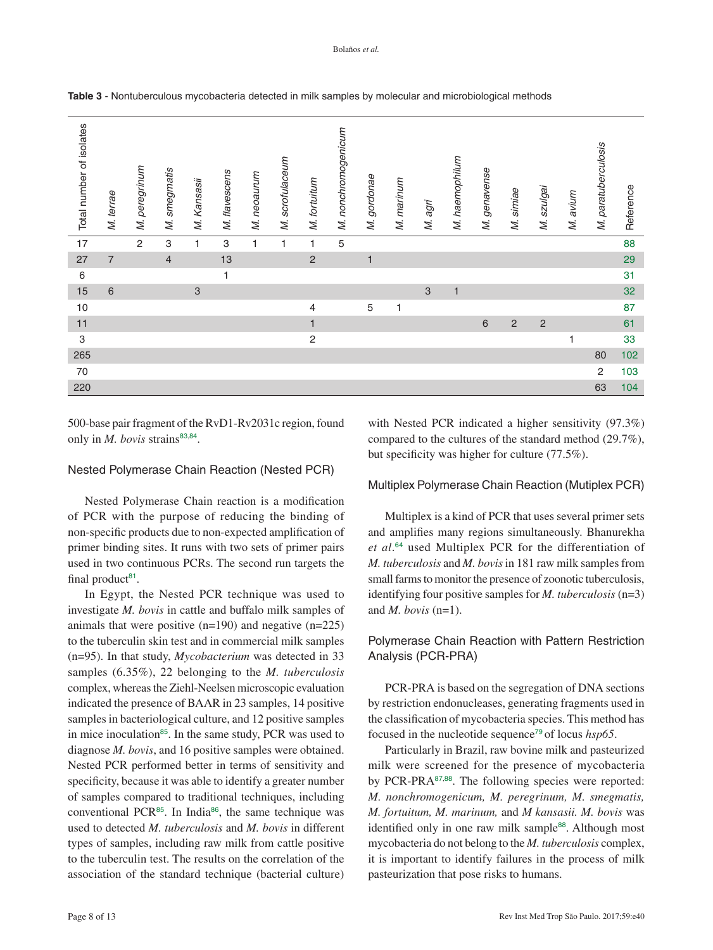| Total number of isolates | M. terrae      | M. peregrinum  | M. smegmatis   | M. Kansasii               | M. flavescens | M. neoaurum  | M. scrofulaceum | M. fortuitum   | M. nonchromogenicum | M. gordonae  | M. marinum | M. agri      | M. haemophilum | M. genavense | M. simiae    | M. szulgai   | M. avium | M. paratuberculosis | Reference |
|--------------------------|----------------|----------------|----------------|---------------------------|---------------|--------------|-----------------|----------------|---------------------|--------------|------------|--------------|----------------|--------------|--------------|--------------|----------|---------------------|-----------|
| 17                       |                | $\overline{c}$ | 3              | $\mathbf{1}$              | $\mathsf 3$   | $\mathbf{1}$ | 1               | $\mathbf{1}$   | 5                   |              |            |              |                |              |              |              |          |                     | 88        |
| 27                       | $\overline{7}$ |                | $\overline{4}$ |                           | 13            |              |                 | $\overline{c}$ |                     | $\mathbf{1}$ |            |              |                |              |              |              |          |                     | 29        |
| $\,6\,$                  |                |                |                |                           | $\mathbf{1}$  |              |                 |                |                     |              |            |              |                |              |              |              |          |                     | 31        |
| 15                       | 6              |                |                | $\ensuremath{\mathsf{3}}$ |               |              |                 |                |                     |              |            | $\mathbf{3}$ | $\mathbf{1}$   |              |              |              |          |                     | 32        |
| 10                       |                |                |                |                           |               |              |                 | 4              |                     | $\mathbf 5$  | 1          |              |                |              |              |              |          |                     | 87        |
| 11                       |                |                |                |                           |               |              |                 | $\mathbf{1}$   |                     |              |            |              |                | 6            | $\mathbf{2}$ | $\mathbf{2}$ |          |                     | 61        |
| $\mathbf{3}$             |                |                |                |                           |               |              |                 | $\overline{c}$ |                     |              |            |              |                |              |              |              | 1        |                     | 33        |
| 265                      |                |                |                |                           |               |              |                 |                |                     |              |            |              |                |              |              |              |          | 80                  | 102       |
| $70\,$                   |                |                |                |                           |               |              |                 |                |                     |              |            |              |                |              |              |              |          | 2                   | 103       |
| 220                      |                |                |                |                           |               |              |                 |                |                     |              |            |              |                |              |              |              |          | 63                  | 104       |

<span id="page-7-0"></span>**Table 3** [- Nontuberculous mycobacteria detected in milk samples by molecular and microbiological methods](#page-5-2)

500-base pair fragment of the RvD1-Rv2031c region, found only in *M. bovis* strains<sup>[83](#page-12-0),[84](#page-12-0)</sup>.

#### Nested Polymerase Chain Reaction (Nested PCR)

Nested Polymerase Chain reaction is a modification of PCR with the purpose of reducing the binding of non-specific products due to non-expected amplification of primer binding sites. It runs with two sets of primer pairs used in two continuous PCRs. The second run targets the final product $81$ .

In Egypt, the Nested PCR technique was used to investigate *M. bovis* in cattle and buffalo milk samples of animals that were positive  $(n=190)$  and negative  $(n=225)$ to the tuberculin skin test and in commercial milk samples (n=95). In that study, *Mycobacterium* was detected in 33 samples (6.35%), 22 belonging to the *M. tuberculosis* complex, whereas the Ziehl-Neelsen microscopic evaluation indicated the presence of BAAR in 23 samples, 14 positive samples in bacteriological culture, and 12 positive samples in mice inoculation<sup>[85](#page-12-0)</sup>. In the same study, PCR was used to diagnose *M. bovis*, and 16 positive samples were obtained. Nested PCR performed better in terms of sensitivity and specificity, because it was able to identify a greater number of samples compared to traditional techniques, including conventional PCR<sup>[85](#page-12-0)</sup>. In India<sup>[86](#page-12-0)</sup>, the same technique was used to detected *M. tuberculosis* and *M. bovis* in different types of samples, including raw milk from cattle positive to the tuberculin test. The results on the correlation of the association of the standard technique (bacterial culture)

<span id="page-7-2"></span><span id="page-7-1"></span>with Nested PCR indicated a higher sensitivity (97.3%) compared to the cultures of the standard method (29.7%), but specificity was higher for culture (77.5%).

#### Multiplex Polymerase Chain Reaction (Mutiplex PCR)

Multiplex is a kind of PCR that uses several primer sets and amplifies many regions simultaneously. Bhanurekha *et al*. [64](#page-11-0) used Multiplex PCR for the differentiation of *M. tuberculosis* and *M. bovis* in 181 raw milk samples from small farms to monitor the presence of zoonotic tuberculosis, identifying four positive samples for *M. tuberculosis* (n=3) and *M. bovis* (n=1).

## Polymerase Chain Reaction with Pattern Restriction Analysis (PCR-PRA)

PCR-PRA is based on the segregation of DNA sections by restriction endonucleases, generating fragments used in the classification of mycobacteria species. This method has focused in the nucleotide sequence[79](#page-12-0) of locus *hsp65*.

<span id="page-7-6"></span><span id="page-7-5"></span><span id="page-7-4"></span><span id="page-7-3"></span>Particularly in Brazil, raw bovine milk and pasteurized milk were screened for the presence of mycobacteria by PCR-PRA[87](#page-12-0),[88](#page-12-0). The following species were reported: *M. nonchromogenicum, M. peregrinum, M. smegmatis, M. fortuitum, M. marinum,* and *M kansasii. M. bovis* was identified only in one raw milk sample<sup>[88](#page-12-0)</sup>. Although most mycobacteria do not belong to the *M. tuberculosis* complex, it is important to identify failures in the process of milk pasteurization that pose risks to humans.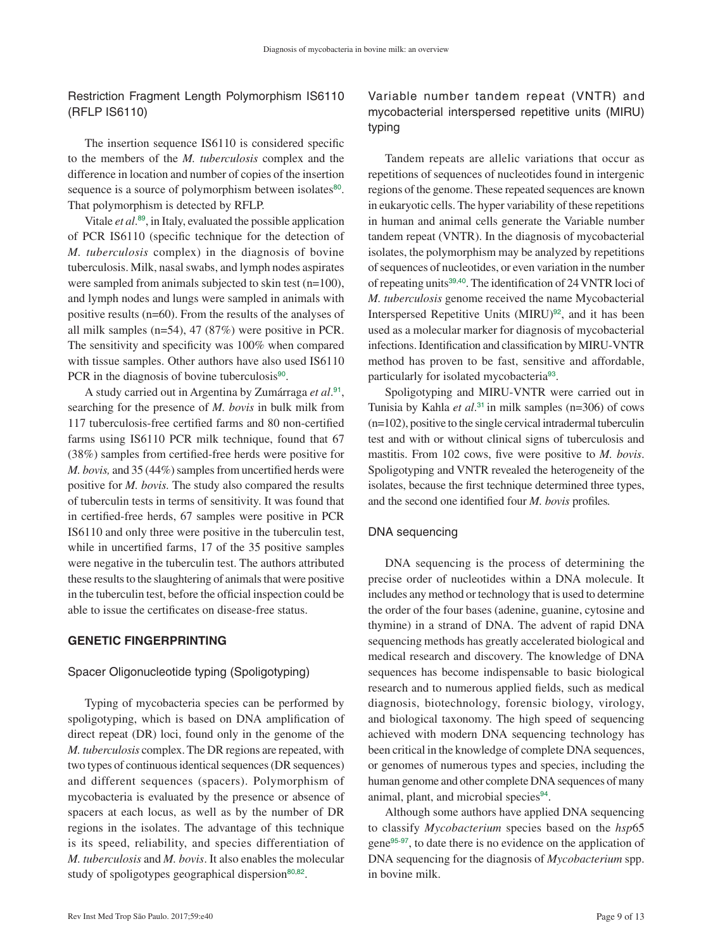Restriction Fragment Length Polymorphism IS6110 (RFLP IS6110)

The insertion sequence IS6110 is considered specific to the members of the *M. tuberculosis* complex and the difference in location and number of copies of the insertion sequence is a source of polymorphism between isolates<sup>[80](#page-12-0)</sup>. That polymorphism is detected by RFLP.

<span id="page-8-0"></span>Vitale *et al*. [89](#page-12-0), in Italy, evaluated the possible application of PCR IS6110 (specific technique for the detection of *M. tuberculosis* complex) in the diagnosis of bovine tuberculosis. Milk, nasal swabs, and lymph nodes aspirates were sampled from animals subjected to skin test (n=100), and lymph nodes and lungs were sampled in animals with positive results (n=60). From the results of the analyses of all milk samples (n=54), 47 (87%) were positive in PCR. The sensitivity and specificity was 100% when compared with tissue samples. Other authors have also used IS6110 PCR in the diagnosis of bovine tuberculosis $90$ .

<span id="page-8-1"></span>A study carried out in Argentina by Zumárraga *et al*. [91](#page-12-0), searching for the presence of *M. bovis* in bulk milk from 117 tuberculosis-free certified farms and 80 non-certified farms using IS6110 PCR milk technique, found that 67 (38%) samples from certified-free herds were positive for *M. bovis,* and 35 (44%) samples from uncertified herds were positive for *M. bovis.* The study also compared the results of tuberculin tests in terms of sensitivity. It was found that in certified-free herds, 67 samples were positive in PCR IS6110 and only three were positive in the tuberculin test, while in uncertified farms, 17 of the 35 positive samples were negative in the tuberculin test. The authors attributed these results to the slaughtering of animals that were positive in the tuberculin test, before the official inspection could be able to issue the certificates on disease-free status.

## **GENETIC FINGERPRINTING**

## Spacer Oligonucleotide typing (Spoligotyping)

Typing of mycobacteria species can be performed by spoligotyping, which is based on DNA amplification of direct repeat (DR) loci, found only in the genome of the *M. tuberculosis* complex. The DR regions are repeated, with two types of continuous identical sequences (DR sequences) and different sequences (spacers). Polymorphism of mycobacteria is evaluated by the presence or absence of spacers at each locus, as well as by the number of DR regions in the isolates. The advantage of this technique is its speed, reliability, and species differentiation of *M. tuberculosis* and *M. bovis*. It also enables the molecular study of spoligotypes geographical dispersion<sup>[80](#page-12-0),[82](#page-12-0)</sup>.

# Variable number tandem repeat (VNTR) and mycobacterial interspersed repetitive units (MIRU) typing

Tandem repeats are allelic variations that occur as repetitions of sequences of nucleotides found in intergenic regions of the genome. These repeated sequences are known in eukaryotic cells. The hyper variability of these repetitions in human and animal cells generate the Variable number tandem repeat (VNTR). In the diagnosis of mycobacterial isolates, the polymorphism may be analyzed by repetitions of sequences of nucleotides, or even variation in the number of repeating units<sup>[39](#page-10-0),[40](#page-10-0)</sup>. The identification of 24 VNTR loci of *M. tuberculosis* genome received the name Mycobacterial Interspersed Repetitive Units (MIRU)<sup>[92](#page-12-0)</sup>, and it has been used as a molecular marker for diagnosis of mycobacterial infections. Identification and classification by MIRU-VNTR method has proven to be fast, sensitive and affordable, particularly for isolated mycobacteria<sup>[93](#page-12-0)</sup>.

<span id="page-8-4"></span><span id="page-8-3"></span><span id="page-8-2"></span>Spoligotyping and MIRU-VNTR were carried out in Tunisia by Kahla *et al*. [31](#page-10-0) in milk samples (n=306) of cows (n=102), positive to the single cervical intradermal tuberculin test and with or without clinical signs of tuberculosis and mastitis. From 102 cows, five were positive to *M. bovis*. Spoligotyping and VNTR revealed the heterogeneity of the isolates, because the first technique determined three types, and the second one identified four *M. bovis* profiles*.*

## DNA sequencing

DNA sequencing is the process of determining the precise order of nucleotides within a DNA molecule. It includes any method or technology that is used to determine the order of the four bases (adenine, guanine, cytosine and thymine) in a strand of DNA. The advent of rapid DNA sequencing methods has greatly accelerated biological and medical research and discovery. The knowledge of DNA sequences has become indispensable to basic biological research and to numerous applied fields, such as medical diagnosis, biotechnology, forensic biology, virology, and biological taxonomy. The high speed of sequencing achieved with modern DNA sequencing technology has been critical in the knowledge of complete DNA sequences, or genomes of numerous types and species, including the human genome and other complete DNA sequences of many animal, plant, and microbial species<sup>[94](#page-12-0)</sup>.

<span id="page-8-7"></span><span id="page-8-6"></span><span id="page-8-5"></span>Although some authors have applied DNA sequencing to classify *Mycobacterium* species based on the *hsp*65 gene[95](#page-12-0)-[97](#page-12-0), to date there is no evidence on the application of DNA sequencing for the diagnosis of *Mycobacterium* spp. in bovine milk.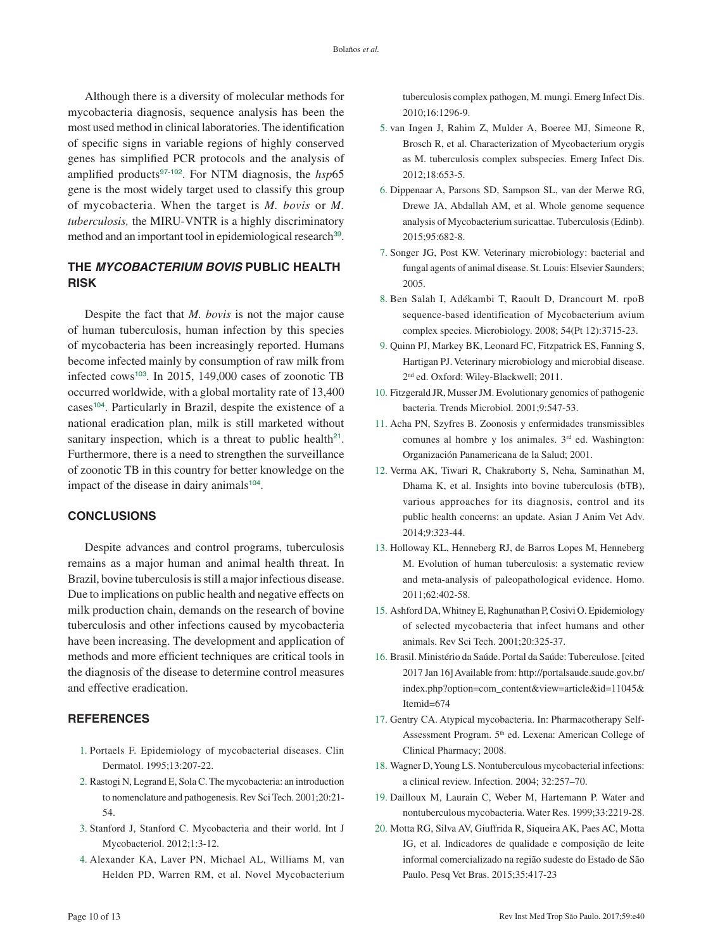<span id="page-9-0"></span>Although there is a diversity of molecular methods for mycobacteria diagnosis, sequence analysis has been the most used method in clinical laboratories. The identification of specific signs in variable regions of highly conserved genes has simplified PCR protocols and the analysis of amplified products<sup>[97](#page-12-0)-[102](#page-12-0)</sup>. For NTM diagnosis, the *hsp*65 gene is the most widely target used to classify this group of mycobacteria. When the target is *M. bovis* or *M. tuberculosis,* the MIRU-VNTR is a highly discriminatory method and an important tool in epidemiological research<sup>[39](#page-10-0)</sup>.

# **THE** *MYCOBACTERIUM BOVIS* **PUBLIC HEALTH RISK**

<span id="page-9-3"></span><span id="page-9-2"></span>Despite the fact that *M. bovis* is not the major cause of human tuberculosis, human infection by this species of mycobacteria has been increasingly reported. Humans become infected mainly by consumption of raw milk from infected cows<sup>[103](#page-12-0)</sup>. In 2015, 149,000 cases of zoonotic TB occurred worldwide, with a global mortality rate of 13,400 cases<sup>[104](#page-12-0)</sup>. Particularly in Brazil, despite the existence of a national eradication plan, milk is still marketed without sanitary inspection, which is a threat to public health<sup>[21](#page-10-0)</sup>. Furthermore, there is a need to strengthen the surveillance of zoonotic TB in this country for better knowledge on the impact of the disease in dairy animals<sup>[104](#page-12-0)</sup>.

#### **CONCLUSIONS**

Despite advances and control programs, tuberculosis remains as a major human and animal health threat. In Brazil, bovine tuberculosis is still a major infectious disease. Due to implications on public health and negative effects on milk production chain, demands on the research of bovine tuberculosis and other infections caused by mycobacteria have been increasing. The development and application of methods and more efficient techniques are critical tools in the diagnosis of the disease to determine control measures and effective eradication.

## **REFERENCES**

- 1. [Portaels F. Epidemiology of mycobacterial diseases. Clin](#page-0-0)  [Dermatol. 1995;13:207-22.](#page-0-0)
- 2. [Rastogi N, Legrand E, Sola C. The mycobacteria: an introduction](#page-0-1)  [to nomenclature and pathogenesis. Rev Sci Tech. 2001;20:21-](#page-0-1) [54.](#page-0-1)
- 3. [Stanford J, Stanford C. Mycobacteria and their world. Int J](#page-0-1)  [Mycobacteriol. 2012;1:3-12.](#page-0-1)
- 4. [Alexander KA, Laver PN, Michael AL, Williams M, van](#page-0-2)  [Helden PD, Warren RM, et al. Novel Mycobacterium](#page-0-2)

[tuberculosis complex pathogen, M. mungi. Emerg Infect Dis.](#page-0-2)  [2010;16:1296-9.](#page-0-2)

- 5. [van Ingen J, Rahim Z, Mulder A, Boeree MJ, Simeone R,](#page-0-3)  [Brosch R, et al. Characterization of Mycobacterium orygis](#page-0-3)  [as M. tuberculosis complex subspecies. Emerg Infect Dis.](#page-0-3)  [2012;18:653-5.](#page-0-3)
- <span id="page-9-1"></span>6. [Dippenaar A, Parsons SD, Sampson SL, van der Merwe RG,](#page-0-3)  [Drewe JA, Abdallah AM, et al. Whole genome sequence](#page-0-3)  [analysis of Mycobacterium suricattae. Tuberculosis \(Edinb\).](#page-0-3)  [2015;95:682-8.](#page-0-3)
- 7. [Songer JG, Post KW. Veterinary microbiology: bacterial and](#page-1-0)  [fungal agents of animal disease. St. Louis: Elsevier Saunders;](#page-1-0)  [2005.](#page-1-0)
- 8. [Ben Salah I, Adékambi T, Raoult D, Drancourt M. rpoB](#page-1-1)  [sequence-based identification of Mycobacterium avium](#page-1-1)  [complex species. Microbiology. 2008; 54\(Pt 12\):3715-23.](#page-1-1)
- 9. [Quinn PJ, Markey BK, Leonard FC, Fitzpatrick ES, Fanning S,](#page-1-1)  [Hartigan PJ. Veterinary microbiology and microbial disease.](#page-1-1)  [2nd ed. Oxford: Wiley-Blackwell; 2011.](#page-1-1)
- 10. [Fitzgerald JR, Musser JM. Evolutionary genomics of pathogenic](#page-1-1)  [bacteria. Trends Microbiol. 2001;9:547-53.](#page-1-1)
- 11. [Acha PN, Szyfres B. Zoonosis y enfermidades transmissibles](#page-1-2)  [comunes al hombre y los animales. 3rd ed. Washington:](#page-1-2)  [Organización Panamericana de la Salud; 2001.](#page-1-2)
- 12. [Verma AK, Tiwari R, Chakraborty S, Neha, Saminathan M,](#page-1-3)  [Dhama K, et al. Insights into bovine tuberculosis \(bTB\),](#page-1-3)  [various approaches for its diagnosis, control and its](#page-1-3)  [public health concerns: an update. Asian J Anim Vet Adv.](#page-1-3)  [2014;9:323-44.](#page-1-3)
- 13. [Holloway KL, Henneberg RJ, de Barros Lopes M, Henneberg](#page-1-4)  [M. Evolution of human tuberculosis: a systematic review](#page-1-4)  [and meta-analysis of paleopathological evidence. Homo.](#page-1-4)  [2011;62:402-58.](#page-1-4)
- 15. [Ashford DA, Whitney E, Raghunathan P, Cosivi O. Epidemiology](#page-1-5)  [of selected mycobacteria that infect humans and other](#page-1-5)  [animals. Rev Sci Tech. 2001;20:325-37.](#page-1-5)
- 16. [Brasil. Ministério da Saúde. Portal da Saúde: Tuberculose. \[cited](#page-1-6)  [2017 Jan 16\] Available from:](#page-1-6) [http://portalsaude.saude.gov.br/](http://portalsaude.saude.gov.br/index.php?option=com_content&view=article&id=11045&Itemid=674) [index.php?option=com\\_content&view=article&id=11045&](http://portalsaude.saude.gov.br/index.php?option=com_content&view=article&id=11045&Itemid=674) [Itemid=674](http://portalsaude.saude.gov.br/index.php?option=com_content&view=article&id=11045&Itemid=674)
- 17. [Gentry CA. Atypical mycobacteria. In: Pharmacotherapy Self-](#page-1-7)Assessment Program. 5<sup>th</sup> ed. Lexena: American College of [Clinical Pharmacy; 2008.](#page-1-7)
- 18. [Wagner D, Young LS. Nontuberculous mycobacterial infections:](#page-1-8)  [a clinical review. Infection. 2004; 32:257–70.](#page-1-8)
- 19. [Dailloux M, Laurain C, Weber M, Hartemann P. Water and](#page-1-9)  [nontuberculous mycobacteria. Water Res. 1999;33:2219-28.](#page-1-9)
- 20. [Motta RG, Silva AV, Giuffrida R, Siqueira AK, Paes AC, Motta](#page-1-10)  [IG, et al. Indicadores de qualidade e composição de leite](#page-1-10)  [informal comercializado na região sudeste do Estado de São](#page-1-10)  [Paulo. Pesq Vet Bras. 2015;35:417-23](#page-1-10)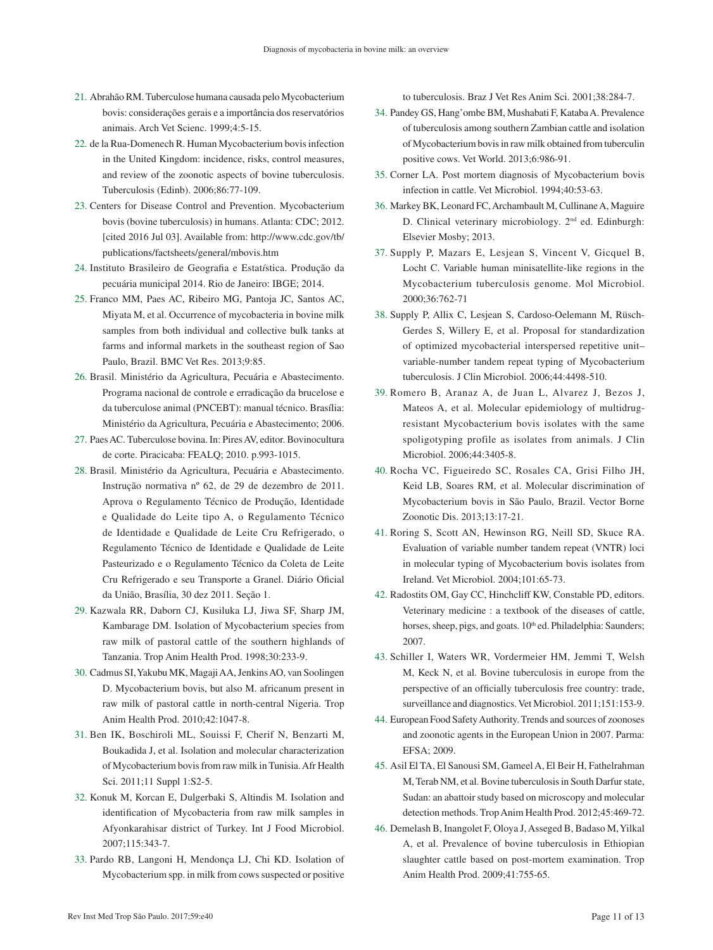- <span id="page-10-0"></span>21. [Abrahão RM. Tuberculose humana causada pelo Mycobacterium](#page-1-11)  [bovis: considerações gerais e a importância dos reservatórios](#page-1-11)  [animais. Arch Vet Scienc. 1999;4:5-15.](#page-1-11)
- 22. [de la Rua-Domenech R. Human Mycobacterium bovis infection](#page-1-12)  [in the United Kingdom: incidence, risks, control measures,](#page-1-12)  [and review of the zoonotic aspects of bovine tuberculosis.](#page-1-12)  [Tuberculosis \(Edinb\). 2006;86:77-109.](#page-1-12)
- 23. [Centers for Disease Control and Prevention. Mycobacterium](#page-1-13)  [bovis \(bovine tuberculosis\) in humans. Atlanta: CDC; 2012.](#page-1-13)  [\[cited 2016 Jul 03\]. Available from:](#page-1-13) [http://www.cdc.gov/tb/](http://www.cdc.gov/tb/publications/factsheets/general/mbovis.htm) [publications/factsheets/general/mbovis.htm](http://www.cdc.gov/tb/publications/factsheets/general/mbovis.htm)
- 24. [Instituto Brasileiro de Geografia e Estat](#page-1-14)*í*stica. Produção da [pecuária municipal 2014. Rio de Janeiro: IBGE; 2014.](#page-1-14)
- 25. [Franco MM, Paes AC, Ribeiro MG, Pantoja JC, Santos AC,](#page-1-15)  [Miyata M, et al. Occurrence of mycobacteria in bovine milk](#page-1-15)  [samples from both individual and collective bulk tanks at](#page-1-15)  [farms and informal markets in the southeast region of Sao](#page-1-15)  [Paulo, Brazil. BMC Vet Res. 2013;9:85.](#page-1-15)
- 26. [Brasil. Ministério da Agricultura, Pecuária e Abastecimento.](#page-1-16)  [Programa nacional de controle e erradicação da brucelose e](#page-1-16)  [da tuberculose animal \(PNCEBT\): manual técnico. Brasília:](#page-1-16)  [Ministério da Agricultura, Pecuária e Abastecimento; 2006.](#page-1-16)
- 27. [Paes AC. Tuberculose bovina. In: Pires AV, editor. Bovinocultura](#page-1-17)  [de corte. Piracicaba: FEALQ; 2010. p.993-1015.](#page-1-17)
- 28. [Brasil. Ministério da Agricultura, Pecuária e Abastecimento.](#page-1-18)  [Instrução normativa nº 62, de 29 de dezembro de 2011.](#page-1-18)  [Aprova o Regulamento Técnico de Produção, Identidade](#page-1-18)  [e Qualidade do Leite tipo A, o Regulamento Técnico](#page-1-18)  [de Identidade e Qualidade de Leite Cru Refrigerado, o](#page-1-18)  [Regulamento Técnico de Identidade e Qualidade de Leite](#page-1-18)  [Pasteurizado e o Regulamento Técnico da Coleta de Leite](#page-1-18)  [Cru Refrigerado e seu Transporte a Granel. Diário Oficial](#page-1-18)  [da União, Brasília, 30 dez 2011. Seção 1.](#page-1-18)
- 29. [Kazwala RR, Daborn CJ, Kusiluka LJ, Jiwa SF, Sharp JM,](#page-1-19)  [Kambarage DM. Isolation of Mycobacterium species from](#page-1-19)  [raw milk of pastoral cattle of the southern highlands of](#page-1-19)  [Tanzania. Trop Anim Health Prod. 1998;30:233-9.](#page-1-19)
- 30. [Cadmus SI, Yakubu MK, Magaji AA, Jenkins AO, van Soolingen](#page-1-20)  [D. Mycobacterium bovis, but also M. africanum present in](#page-1-20)  [raw milk of pastoral cattle in north-central Nigeria. Trop](#page-1-20)  [Anim Health Prod. 2010;42:1047-8.](#page-1-20)
- 31. [Ben IK, Boschiroli ML, Souissi F, Cherif N, Benzarti M,](#page-1-21)  [Boukadida J, et al. Isolation and molecular characterization](#page-1-21)  [of Mycobacterium bovis from raw milk in Tunisia. Afr Health](#page-1-21)  [Sci. 2011;11 Suppl 1:S2-5.](#page-1-21)
- 32. [Konuk M, Korcan E, Dulgerbaki S, Altindis M. Isolation and](#page-1-22)  [identification of Mycobacteria from raw milk samples in](#page-1-22)  [Afyonkarahisar district of Turkey. Int J Food Microbiol.](#page-1-22)  [2007;115:343-7.](#page-1-22)
- 33. [Pardo RB, Langoni H, Mendonça LJ, Chi KD. Isolation of](#page-1-23)  [Mycobacterium spp. in milk from cows suspected or positive](#page-1-23)

[to tuberculosis. Braz J Vet Res Anim Sci. 2001;38:284-7.](#page-1-23)

- 34. [Pandey GS, Hang'ombe BM, Mushabati F, Kataba A. Prevalence](#page-1-24)  [of tuberculosis among southern Zambian cattle and isolation](#page-1-24)  [of Mycobacterium bovis in raw milk obtained from tuberculin](#page-1-24)  [positive cows. Vet World. 2013;6:986-91.](#page-1-24)
- 35. [Corner LA. Post mortem diagnosis of Mycobacterium bovis](#page-1-25)  [infection in cattle. Vet Microbiol. 1994;40:53-63.](#page-1-25)
- 36. [Markey BK, Leonard FC, Archambault M, Cullinane A, Maguire](#page-1-26)  [D. Clinical veterinary microbiology. 2nd ed. Edinburgh:](#page-1-26)  [Elsevier Mosby; 2013.](#page-1-26)
- 37. [Supply P, Mazars E, Lesjean S, Vincent V, Gicquel B,](#page-2-1)  [Locht C. Variable human minisatellite-like regions in the](#page-2-1)  [Mycobacterium tuberculosis genome. Mol Microbiol.](#page-2-1)  [2000;36:762-71](#page-2-1)
- 38. [Supply P, Allix C, Lesjean S, Cardoso-Oelemann M, Rüsch-](#page-2-1)[Gerdes S, Willery E, et al. Proposal for standardization](#page-2-1)  [of optimized mycobacterial interspersed repetitive unit–](#page-2-1) [variable-number tandem repeat typing of Mycobacterium](#page-2-1)  [tuberculosis. J Clin Microbiol. 2006;44:4498-510.](#page-2-1)
- 39. [Romero B, Aranaz A, de Juan L, Alvarez J, Bezos J,](#page-2-2)  [Mateos A, et al. Molecular epidemiology of multidrug](#page-2-2)[resistant Mycobacterium bovis isolates with the same](#page-2-2)  [spoligotyping profile as isolates from animals. J Clin](#page-2-2)  [Microbiol. 2006;44:3405-8.](#page-2-2)
- 40. [Rocha VC, Figueiredo SC, Rosales CA, Grisi Filho JH,](#page-2-2)  [Keid LB, Soares RM, et al. Molecular discrimination of](#page-2-2)  [Mycobacterium bovis in São Paulo, Brazil. Vector Borne](#page-2-2)  [Zoonotic Dis. 2013;13:17-21.](#page-2-2)
- 41. [Roring S, Scott AN, Hewinson RG, Neill SD, Skuce RA.](#page-2-3)  [Evaluation of variable number tandem repeat \(VNTR\) loci](#page-2-3)  [in molecular typing of Mycobacterium bovis isolates from](#page-2-3)  [Ireland. Vet Microbiol. 2004;101:65-73.](#page-2-3)
- 42. [Radostits OM, Gay CC, Hinchcliff KW, Constable PD, editors.](#page-2-4)  [Veterinary medicine : a textbook of the diseases of cattle,](#page-2-4)  horses, sheep, pigs, and goats. 10<sup>th</sup> ed. Philadelphia: Saunders; [2007.](#page-2-4)
- 43. [Schiller I, Waters WR, Vordermeier HM, Jemmi T, Welsh](#page-2-5)  [M, Keck N, et al. Bovine tuberculosis in europe from the](#page-2-5)  [perspective of an officially tuberculosis free country: trade,](#page-2-5)  [surveillance and diagnostics. Vet Microbiol. 2011;151:153-9.](#page-2-5)
- 44. [European Food Safety Authority. Trends and sources of zoonoses](#page-2-6)  [and zoonotic agents in the European Union in 2007. Parma:](#page-2-6)  [EFSA; 2009.](#page-2-6)
- 45. [Asil El TA, El Sanousi SM, Gameel A, El Beir H, Fathelrahman](#page-2-7)  [M, Terab NM, et al. Bovine tuberculosis in South Darfur state,](#page-2-7)  [Sudan: an abattoir study based on microscopy and molecular](#page-2-7)  [detection methods. Trop Anim Health Prod. 2012;45:469-72.](#page-2-7)
- 46. [Demelash B, Inangolet F, Oloya J, Asseged B, Badaso M, Yilkal](#page-2-8)  [A, et al. Prevalence of bovine tuberculosis in Ethiopian](#page-2-8)  [slaughter cattle based on post-mortem examination. Trop](#page-2-8)  [Anim Health Prod. 2009;41:755-65.](#page-2-8)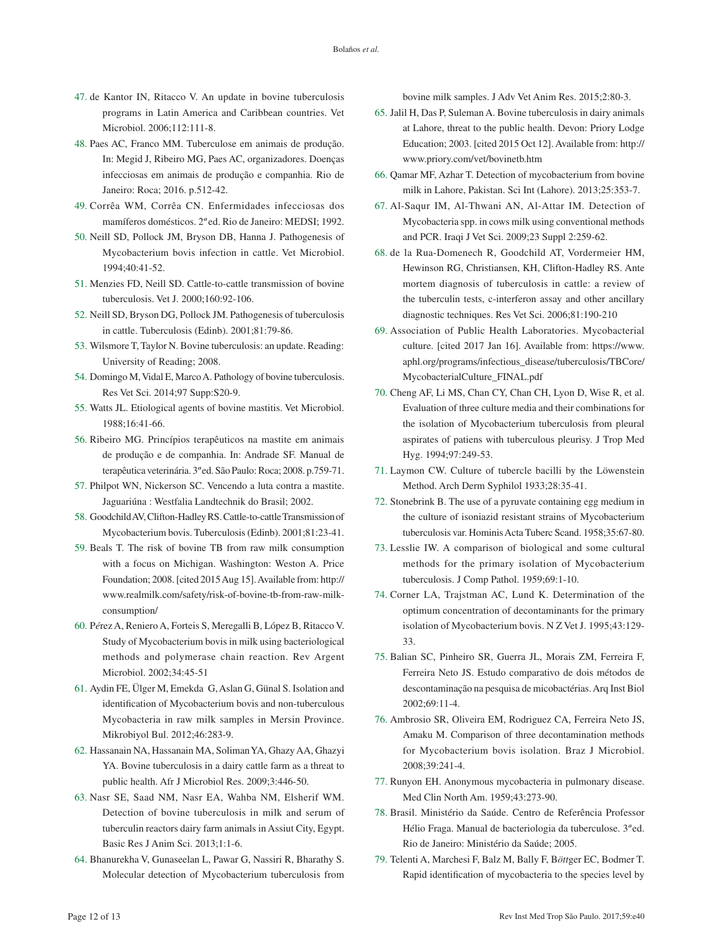- <span id="page-11-0"></span>47. [de Kantor IN, Ritacco V. An update in bovine tuberculosis](#page-2-9)  [programs in Latin America and Caribbean countries. Vet](#page-2-9)  [Microbiol. 2006;112:111-8.](#page-2-9)
- 48. [Paes AC, Franco MM. Tuberculose em animais de produção.](#page-2-10)  [In: Megid J, Ribeiro MG, Paes AC, organizadores. Doenças](#page-2-10)  [infecciosas em animais de produção e companhia. Rio de](#page-2-10)  [Janeiro: Roca; 2016. p.512-42.](#page-2-10)
- 49. [Corrêa WM, Corrêa CN. Enfermidades infecciosas dos](#page-2-11)  mamíferos domésticos. 2*ª* [ed. Rio de Janeiro: MEDSI; 1992.](#page-2-11)
- 50. [Neill SD, Pollock JM, Bryson DB, Hanna J. Pathogenesis of](#page-2-12)  [Mycobacterium bovis infection in cattle. Vet Microbiol.](#page-2-12)  [1994;40:41-52.](#page-2-12)
- 51. [Menzies FD, Neill SD. Cattle-to-cattle transmission of bovine](#page-2-12)  [tuberculosis. Vet J. 2000;160:92-106.](#page-2-12)
- 52. [Neill SD, Bryson DG, Pollock JM. Pathogenesis of tuberculosis](#page-3-0)  [in cattle. Tuberculosis \(Edinb\). 2001;81:79-86.](#page-3-0)
- 53. [Wilsmore T, Taylor N. Bovine tuberculosis: an update. Reading:](#page-3-1)  [University of Reading; 2008.](#page-3-1)
- 54. [Domingo M, Vidal E, Marco A. Pathology of bovine tuberculosis.](#page-3-1)  [Res Vet Sci. 2014;97 Supp:S20-9.](#page-3-1)
- 55. [Watts JL. Etiological agents of bovine mastitis. Vet Microbiol.](#page-3-2)  [1988;16:41-66.](#page-3-2)
- 56. [Ribeiro MG. Princípios terapêuticos na mastite em animais](#page-3-3)  [de produção e de companhia. In: Andrade SF. Manual de](#page-3-3)  terapêutica veterinária. 3*ª* [ed. São Paulo: Roca; 2008. p.759-71.](#page-3-3)
- 57. [Philpot WN, Nickerson SC. Vencendo a luta contra a mastite.](#page-3-4)  [Jaguariúna : Westfalia Landtechnik do Brasil; 2002.](#page-3-4)
- 58. [Goodchild AV, Clifton-Hadley RS. Cattle-to-cattle Transmission of](#page-3-5)  [Mycobacterium bovis. Tuberculosis \(Edinb\). 2001;81:23-41.](#page-3-5)
- 59. [Beals T. The risk of bovine TB from raw milk consumption](#page-3-6)  [with a focus on Michigan. Washington: Weston A. Price](#page-3-6)  [Foundation; 2008. \[cited 2015 Aug 15\]. Available from](#page-3-6): [http://](http://www.realmilk.com/safety/risk-of-bovine-tb-from-raw-milk-consumption/) [www.realmilk.com/safety/risk-of-bovine-tb-from-raw-milk](http://www.realmilk.com/safety/risk-of-bovine-tb-from-raw-milk-consumption/)[consumption/](http://www.realmilk.com/safety/risk-of-bovine-tb-from-raw-milk-consumption/)
- 60. P*é*[rez A, Reniero A, Forteis S, Meregalli B, López B, Ritacco V.](#page-3-6)  [Study of Mycobacterium bovis in milk using bacteriological](#page-3-6)  [methods and polymerase chain reaction. Rev Argent](#page-3-6)  [Microbiol. 2002;34:45-51](#page-3-6)
- 61. [Aydin FE, Ülger M, Emekdaş G, Aslan G, Günal S. Isolation and](#page-3-7)  [identification of Mycobacterium bovis and non-tuberculous](#page-3-7)  [Mycobacteria in raw milk samples in Mersin Province.](#page-3-7)  [Mikrobiyol Bul. 2012;46:283-9.](#page-3-7)
- 62. [Hassanain NA, Hassanain MA, Soliman YA, Ghazy AA, Ghazyi](#page-4-2)  [YA. Bovine tuberculosis in a dairy cattle farm as a threat to](#page-4-2)  [public health. Afr J Microbiol Res. 2009;3:446-50.](#page-4-2)
- 63. [Nasr SE, Saad NM, Nasr EA, Wahba NM, Elsherif WM.](#page-4-3)  [Detection of bovine tuberculosis in milk and serum of](#page-4-3)  [tuberculin reactors dairy farm animals in Assiut City, Egypt.](#page-4-3)  [Basic Res J Anim Sci. 2013;1:1-6.](#page-4-3)
- 64. [Bhanurekha V, Gunaseelan L, Pawar G, Nassiri R, Bharathy S.](#page-4-4)  [Molecular detection of Mycobacterium tuberculosis from](#page-4-4)

[bovine milk samples. J Adv Vet Anim Res. 2015;2:80-3.](#page-4-4) 

- 65. [Jalil H, Das P, Suleman A. Bovine tuberculosis in dairy animals](#page-4-5)  [at Lahore, threat to the public health. Devon: Priory Lodge](#page-4-5)  [Education; 2003. \[cited 2015 Oct 12\]. Available from:](#page-4-5) [http://](http://www.priory.com/vet/bovinetb.htm) [www.priory.com/vet/bovinetb.htm](http://www.priory.com/vet/bovinetb.htm)
- 66. [Qamar MF, Azhar T. Detection of mycobacterium from bovine](#page-4-6)  [milk in Lahore, Pakistan. Sci Int \(Lahore\). 2013;25:353-7.](#page-4-6)
- 67. [Al-Saqur IM, Al-Thwani AN, Al-Attar IM. Detection of](#page-4-7)  [Mycobacteria spp. in cows milk using conventional methods](#page-4-7)  [and PCR. Iraqi J Vet Sci. 2009;23 Suppl 2:259-62.](#page-4-7)
- 68. [de la Rua-Domenech R, Goodchild AT, Vordermeier HM,](#page-4-8)  [Hewinson RG, Christiansen, KH, Clifton-Hadley RS. Ante](#page-4-8)  [mortem diagnosis of tuberculosis in cattle: a review of](#page-4-8)  [the tuberculin tests, c-interferon assay and other ancillary](#page-4-8)  [diagnostic techniques. Res Vet Sci. 2006;81:190-210](#page-4-8)
- 69. [Association of Public Health Laboratories. Mycobacterial](#page-4-9)  [culture. \[cited 2017 Jan 16\]. Available from:](#page-4-9) [https://www.](https://www.aphl.org/programs/infectious_disease/tuberculosis/TBCore/MycobacterialCulture_FINAL.pdf) [aphl.org/programs/infectious\\_disease/tuberculosis/TBCore/](https://www.aphl.org/programs/infectious_disease/tuberculosis/TBCore/MycobacterialCulture_FINAL.pdf) [MycobacterialCulture\\_FINAL.pdf](https://www.aphl.org/programs/infectious_disease/tuberculosis/TBCore/MycobacterialCulture_FINAL.pdf)
- 70. [Cheng AF, Li MS, Chan CY, Chan CH, Lyon D, Wise R, et al.](#page-4-10)  [Evaluation of three culture media and their combinations for](#page-4-10)  [the isolation of Mycobacterium tuberculosis from pleural](#page-4-10)  [aspirates of patiens with tuberculous pleurisy. J Trop Med](#page-4-10)  [Hyg. 1994;97:249-53.](#page-4-10)
- 71. [Laymon CW. Culture of tubercle bacilli by the Löwenstein](#page-4-11)  [Method. Arch Derm Syphilol 1933;28:35-41.](#page-4-11)
- 72. [Stonebrink B. The use of a pyruvate containing egg medium in](#page-4-12)  [the culture of isoniazid resistant strains of Mycobacterium](#page-4-12)  [tuberculosis var. Hominis Acta Tuberc Scand. 1958;35:67-80.](#page-4-12)
- 73. [Lesslie IW. A comparison of biological and some cultural](#page-4-13)  [methods for the primary isolation of Mycobacterium](#page-4-13)  [tuberculosis. J Comp Pathol. 1959;69:1-10.](#page-4-13)
- 74. [Corner LA, Trajstman AC, Lund K. Determination of the](#page-5-3)  [optimum concentration of decontaminants for the primary](#page-5-3)  [isolation of Mycobacterium bovis. N Z Vet J. 1995;43:129-](#page-5-3) [33.](#page-5-3)
- 75. [Balian SC, Pinheiro SR, Guerra JL, Morais ZM, Ferreira F,](#page-5-4)  [Ferreira Neto JS. Estudo comparativo de dois métodos de](#page-5-4)  [descontaminação na pesquisa de micobactérias. Arq Inst Biol](#page-5-4)  [2002;69:11-4.](#page-5-4)
- 76. [Ambrosio SR, Oliveira EM, Rodriguez CA, Ferreira Neto JS,](#page-5-5)  [Amaku M. Comparison of three decontamination methods](#page-5-5)  [for Mycobacterium bovis isolation. Braz J Microbiol.](#page-5-5)  [2008;39:241-4.](#page-5-5)
- 77. [Runyon EH. Anonymous mycobacteria in pulmonary disease.](#page-5-6)  [Med Clin North Am. 1959;43:273-90.](#page-5-6)
- 78. [Brasil. Ministério da Saúde. Centro de Referência Professor](#page-5-7)  [Hélio Fraga. Manual de bacteriologia da tuberculose. 3](#page-5-7)*ª* ed. [Rio de Janeiro: Ministério da Saúde; 2005.](#page-5-7)
- 79. [Telenti A, Marchesi F, Balz M, Bally F, B](#page-5-8)*ött*ger EC, Bodmer T. [Rapid identification of mycobacteria to the species level by](#page-5-8)